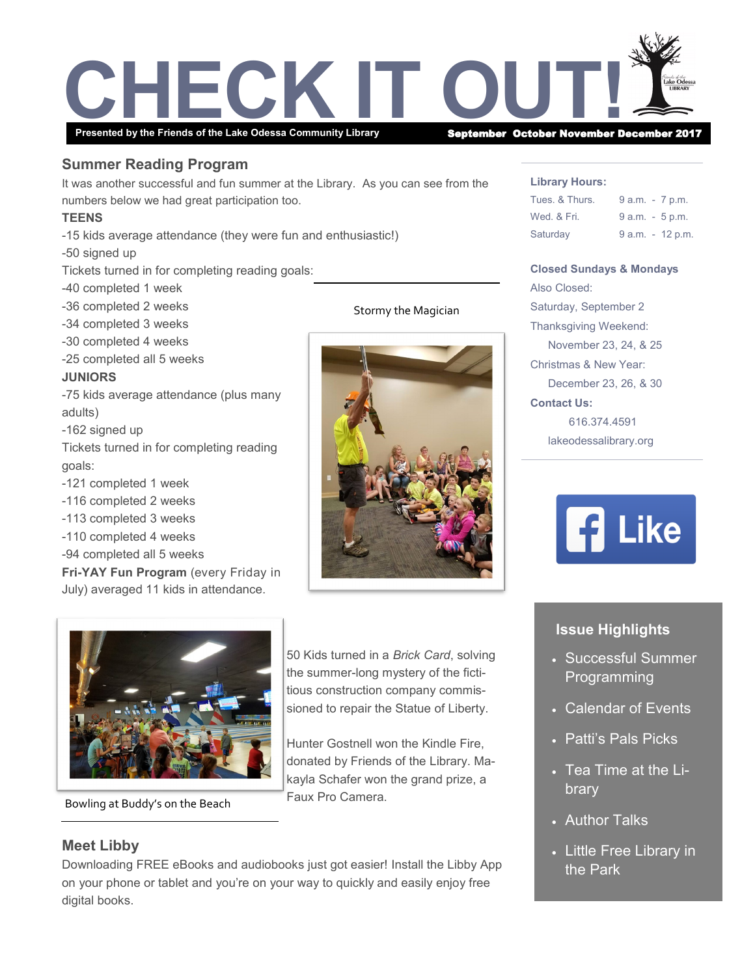

#### **Summer Reading Program**

It was another successful and fun summer at the Library. As you can see from the numbers below we had great participation too.

#### **TEENS**

-15 kids average attendance (they were fun and enthusiastic!)

- -50 signed up
- Tickets turned in for completing reading goals:
- -40 completed 1 week
- -36 completed 2 weeks
- -34 completed 3 weeks
- -30 completed 4 weeks
- -25 completed all 5 weeks

#### **JUNIORS**

-75 kids average attendance (plus many adults)

-162 signed up

Tickets turned in for completing reading goals:

- -121 completed 1 week
- -116 completed 2 weeks
- -113 completed 3 weeks
- -110 completed 4 weeks
- -94 completed all 5 weeks

**Fri-YAY Fun Program** (every Friday in July) averaged 11 kids in attendance.



#### Bowling at Buddy's on the Beach

Stormy the Magician

50 Kids turned in a *Brick Card*, solving the summer-long mystery of the fictitious construction company commissioned to repair the Statue of Liberty.

Hunter Gostnell won the Kindle Fire, donated by Friends of the Library. Makayla Schafer won the grand prize, a Faux Pro Camera.

#### **Meet Libby**

Downloading FREE eBooks and audiobooks just got easier! Install the Libby App on your phone or tablet and you're on your way to quickly and easily enjoy free digital books.

**Library Hours:** Tues. & Thurs. 9 a.m. - 7 p.m. Wed. & Fri. 9 a.m. - 5 p.m.

Saturday 9 a.m. - 12 p.m.

#### **Closed Sundays & Mondays**

Also Closed: Saturday, September 2 Thanksgiving Weekend: November 23, 24, & 25 Christmas & New Year: December 23, 26, & 30 **Contact Us:** 616.374.4591 lakeodessalibrary.org



#### **Issue Highlights**

- Successful Summer Programming
- Calendar of Events
- Patti's Pals Picks
- $\cdot$  Tea Time at the Library
- Author Talks
- Little Free Library in the Park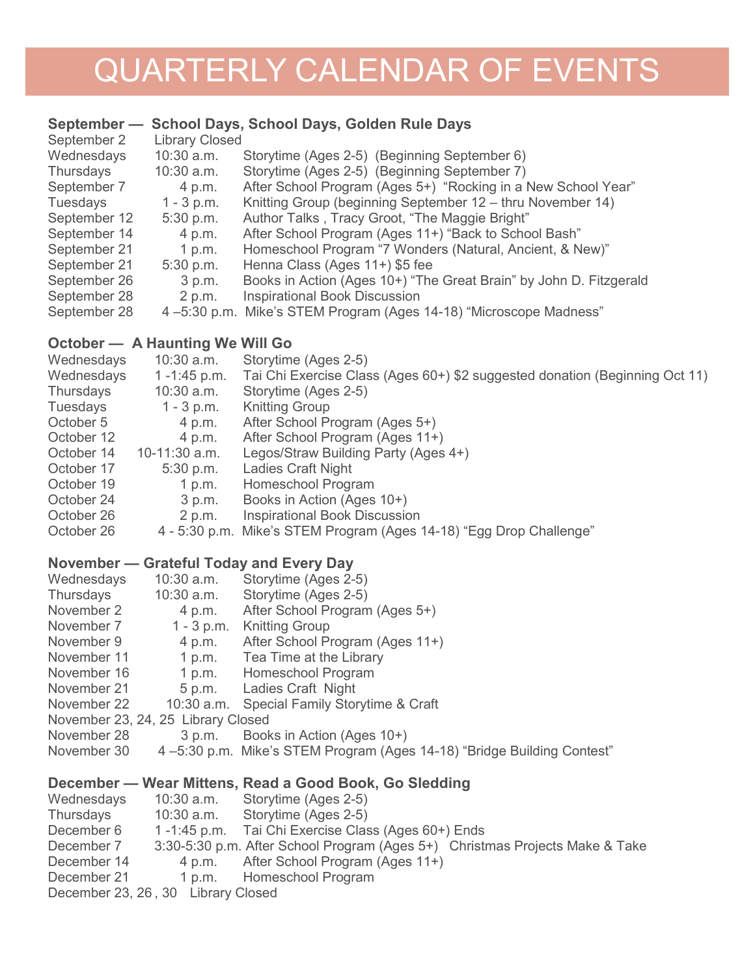# QUARTERLY CALENDAR OF EVENTS

| September —                            |                                | <b>School Days, School Days, Golden Rule Days</b>                                                   |
|----------------------------------------|--------------------------------|-----------------------------------------------------------------------------------------------------|
| September 2                            | <b>Library Closed</b>          |                                                                                                     |
| Wednesdays                             | $10:30$ a.m.                   | Storytime (Ages 2-5) (Beginning September 6)                                                        |
| Thursdays                              | $10:30$ a.m.                   | Storytime (Ages 2-5) (Beginning September 7)                                                        |
| September 7                            | 4 p.m.                         | After School Program (Ages 5+) "Rocking in a New School Year"                                       |
| Tuesdays                               | $1 - 3 p.m.$                   | Knitting Group (beginning September 12 – thru November 14)                                          |
| September 12                           | 5:30 p.m.                      | Author Talks, Tracy Groot, "The Maggie Bright"                                                      |
| September 14                           | 4 p.m.                         | After School Program (Ages 11+) "Back to School Bash"                                               |
| September 21                           | 1 p.m.                         | Homeschool Program "7 Wonders (Natural, Ancient, & New)"                                            |
| September 21                           | 5:30 p.m.                      | Henna Class (Ages 11+) \$5 fee                                                                      |
| September 26                           | 3 p.m.                         | Books in Action (Ages 10+) "The Great Brain" by John D. Fitzgerald                                  |
| September 28                           | 2 p.m.                         | <b>Inspirational Book Discussion</b>                                                                |
| September 28                           |                                | 4-5:30 p.m. Mike's STEM Program (Ages 14-18) "Microscope Madness"                                   |
| <b>October - A Haunting We Will Go</b> |                                |                                                                                                     |
| Wednesdays                             | 10:30 a.m.                     | Storytime (Ages 2-5)                                                                                |
| Wednesdays<br>Thursdays                | 1 $-1:45$ p.m.<br>$10:30$ a.m. | Tai Chi Exercise Class (Ages 60+) \$2 suggested donation (Beginning Oct 11)<br>Storytime (Ages 2-5) |

| <b>Tuesdays</b> | $1 - 3$ p.m.  | <b>Knitting Group</b>                |
|-----------------|---------------|--------------------------------------|
| October 5       | 4 p.m.        | After School Program (Ages 5+)       |
| October 12      | 4 p.m.        | After School Program (Ages 11+)      |
| October 14      | 10-11:30 a.m. | Legos/Straw Building Party (Ages 4+) |
| October 17      | 5:30 p.m.     | <b>Ladies Craft Night</b>            |
| October 19      | 1 p.m.        | Homeschool Program                   |

| October 24 | 3 p.m. | Books in Action (Ages 10+)                                          |
|------------|--------|---------------------------------------------------------------------|
| October 26 | 2 p.m. | Inspirational Book Discussion                                       |
| October 26 |        | 4 - 5:30 p.m. Mike's STEM Program (Ages 14-18) "Egg Drop Challenge" |
|            |        |                                                                     |

#### **November — Grateful Today and Every Day**

| Wednesdays  | 10:30 a.m.                         | Storytime (Ages 2-5)                                |
|-------------|------------------------------------|-----------------------------------------------------|
| Thursdays   | $10:30$ a.m.                       | Storytime (Ages 2-5)                                |
| November 2  | 4 p.m.                             | After School Program (Ages 5+)                      |
| November 7  | $1 - 3 p.m.$                       | <b>Knitting Group</b>                               |
| November 9  | 4 p.m.                             | After School Program (Ages 11+)                     |
| November 11 | 1 p.m.                             | Tea Time at the Library                             |
| November 16 | 1 $p.m.$                           | Homeschool Program                                  |
| November 21 | 5 p.m.                             | Ladies Craft Night                                  |
| November 22 | $10:30$ a.m.                       | Special Family Storytime & Craft                    |
|             | November 23, 24, 25 Library Closed |                                                     |
| November 28 |                                    | 3 p.m. Books in Action (Ages 10+)                   |
| November 20 |                                    | 1 E:20 pm Milch CTEM Drogram (Agoo 11 10) "Dridge D |

# November 30 4 –5:30 p.m. Mike's STEM Program (Ages 14-18) "Bridge Building Contest"

# **December — Wear Mittens, Read a Good Book, Go Sledding**

| Wednesdays                         | $10:30$ a.m. | Storytime (Ages 2-5)                                                         |  |
|------------------------------------|--------------|------------------------------------------------------------------------------|--|
| Thursdays                          | 10:30 a.m.   | Storytime (Ages 2-5)                                                         |  |
| December 6                         |              | 1-1:45 p.m. Tai Chi Exercise Class (Ages 60+) Ends                           |  |
| December 7                         |              | 3:30-5:30 p.m. After School Program (Ages 5+) Christmas Projects Make & Take |  |
| December 14                        |              | 4 p.m. After School Program (Ages 11+)                                       |  |
| December 21                        |              | 1 p.m. Homeschool Program                                                    |  |
| December 23, 26, 30 Library Closed |              |                                                                              |  |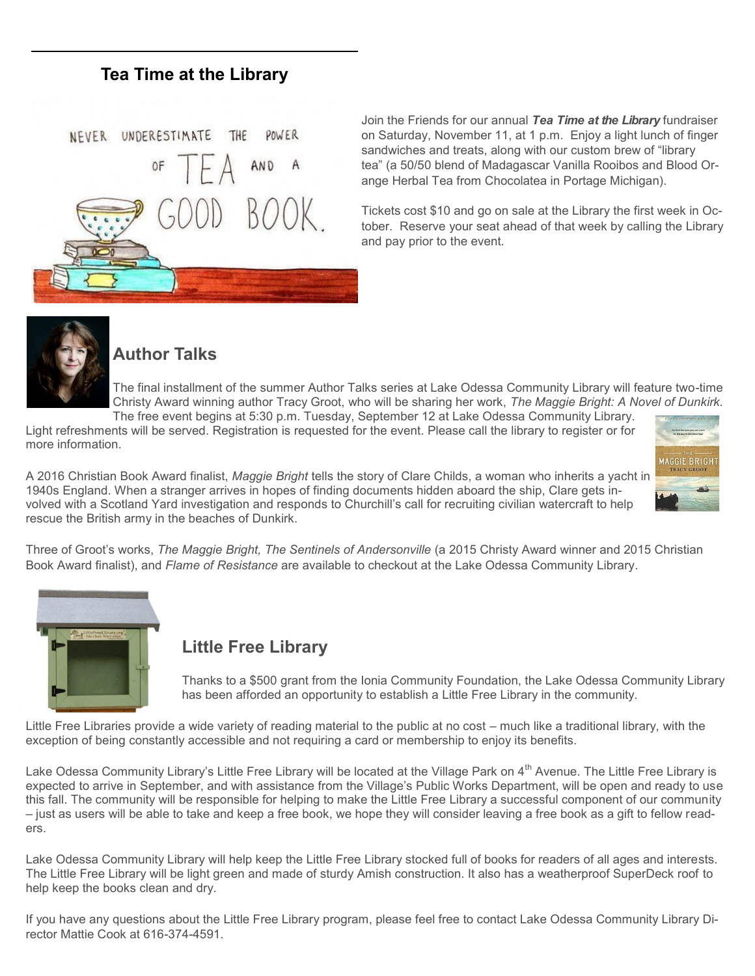# **Tea Time at the Library**



Join the Friends for our annual *Tea Time at the Library* fundraiser on Saturday, November 11, at 1 p.m. Enjoy a light lunch of finger sandwiches and treats, along with our custom brew of "library tea" (a 50/50 blend of Madagascar Vanilla Rooibos and Blood Orange Herbal Tea from Chocolatea in Portage Michigan).

Tickets cost \$10 and go on sale at the Library the first week in October. Reserve your seat ahead of that week by calling the Library and pay prior to the event.



### **Author Talks**

The final installment of the summer Author Talks series at Lake Odessa Community Library will feature two-time Christy Award winning author Tracy Groot, who will be sharing her work, *The Maggie Bright: A Novel of Dunkirk.* 

The free event begins at 5:30 p.m. Tuesday, September 12 at Lake Odessa Community Library. Light refreshments will be served. Registration is requested for the event. Please call the library to register or for more information.

A 2016 Christian Book Award finalist, *Maggie Bright* tells the story of Clare Childs, a woman who inherits a yacht in 1940s England. When a stranger arrives in hopes of finding documents hidden aboard the ship, Clare gets involved with a Scotland Yard investigation and responds to Churchill's call for recruiting civilian watercraft to help rescue the British army in the beaches of Dunkirk.



Three of Groot's works, *The Maggie Bright, The Sentinels of Andersonville* (a 2015 Christy Award winner and 2015 Christian Book Award finalist), and *Flame of Resistance* are available to checkout at the Lake Odessa Community Library.



# **Little Free Library**

Thanks to a \$500 grant from the Ionia Community Foundation, the Lake Odessa Community Library has been afforded an opportunity to establish a Little Free Library in the community.

Little Free Libraries provide a wide variety of reading material to the public at no cost – much like a traditional library, with the exception of being constantly accessible and not requiring a card or membership to enjoy its benefits.

Lake Odessa Community Library's Little Free Library will be located at the Village Park on 4<sup>th</sup> Avenue. The Little Free Library is expected to arrive in September, and with assistance from the Village's Public Works Department, will be open and ready to use this fall. The community will be responsible for helping to make the Little Free Library a successful component of our community – just as users will be able to take and keep a free book, we hope they will consider leaving a free book as a gift to fellow readers.

Lake Odessa Community Library will help keep the Little Free Library stocked full of books for readers of all ages and interests. The Little Free Library will be light green and made of sturdy Amish construction. It also has a weatherproof SuperDeck roof to help keep the books clean and dry.

If you have any questions about the Little Free Library program, please feel free to contact Lake Odessa Community Library Director Mattie Cook at 616-374-4591.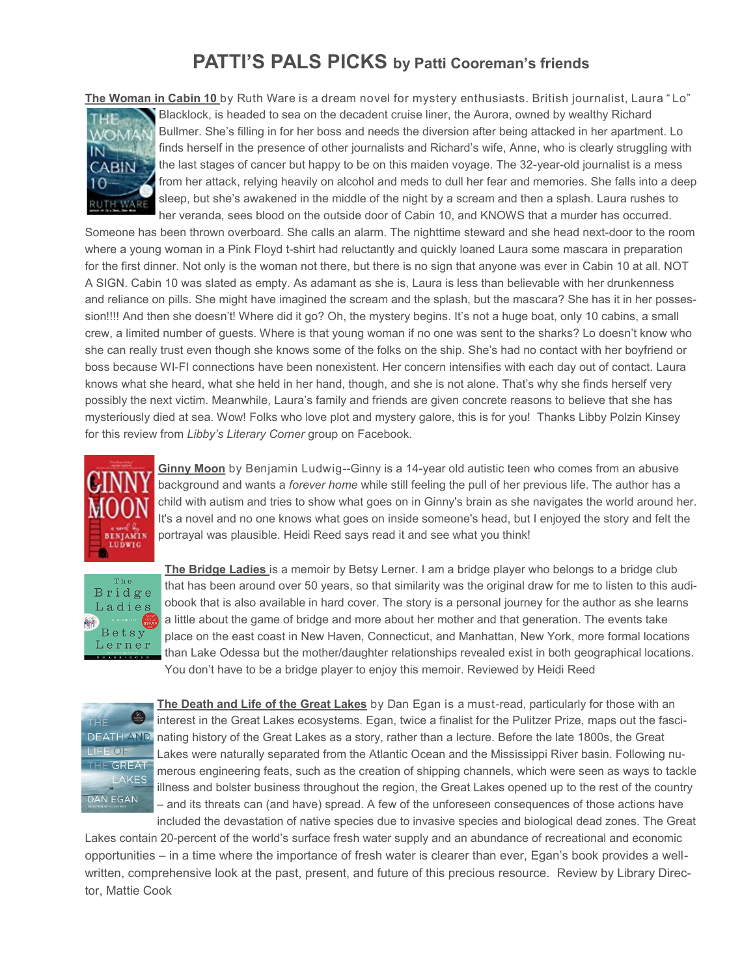# **PATTI'S PALS PICKS by Patti Cooreman's friends**

**The Woman in Cabin 10** by Ruth Ware is a dream novel for mystery enthusiasts. British journalist, Laura " Lo"



Blacklock, is headed to sea on the decadent cruise liner, the Aurora, owned by wealthy Richard Bullmer. She's filling in for her boss and needs the diversion after being attacked in her apartment. Lo finds herself in the presence of other journalists and Richard's wife, Anne, who is clearly struggling with the last stages of cancer but happy to be on this maiden voyage. The 32-year-old journalist is a mess from her attack, relying heavily on alcohol and meds to dull her fear and memories. She falls into a deep sleep, but she's awakened in the middle of the night by a scream and then a splash. Laura rushes to her veranda, sees blood on the outside door of Cabin 10, and KNOWS that a murder has occurred.

Someone has been thrown overboard. She calls an alarm. The nighttime steward and she head next-door to the room where a young woman in a Pink Floyd t-shirt had reluctantly and quickly loaned Laura some mascara in preparation for the first dinner. Not only is the woman not there, but there is no sign that anyone was ever in Cabin 10 at all. NOT A SIGN. Cabin 10 was slated as empty. As adamant as she is, Laura is less than believable with her drunkenness and reliance on pills. She might have imagined the scream and the splash, but the mascara? She has it in her possession!!!! And then she doesn't! Where did it go? Oh, the mystery begins. It's not a huge boat, only 10 cabins, a small crew, a limited number of guests. Where is that young woman if no one was sent to the sharks? Lo doesn't know who she can really trust even though she knows some of the folks on the ship. She's had no contact with her boyfriend or boss because WI-FI connections have been nonexistent. Her concern intensifies with each day out of contact. Laura knows what she heard, what she held in her hand, though, and she is not alone. That's why she finds herself very possibly the next victim. Meanwhile, Laura's family and friends are given concrete reasons to believe that she has mysteriously died at sea. Wow! Folks who love plot and mystery galore, this is for you! Thanks Libby Polzin Kinsey for this review from *Libby's Literary Corner* group on Facebook.



**Ginny Moon** by Benjamin Ludwig--Ginny is a 14-year old autistic teen who comes from an abusive background and wants a *forever home* while still feeling the pull of her previous life. The author has a child with autism and tries to show what goes on in Ginny's brain as she navigates the world around her. It's a novel and no one knows what goes on inside someone's head, but I enjoyed the story and felt the portrayal was plausible. Heidi Reed says read it and see what you think!



**The Bridge Ladies** is a memoir by Betsy Lerner. I am a bridge player who belongs to a bridge club that has been around over 50 years, so that similarity was the original draw for me to listen to this audiobook that is also available in hard cover. The story is a personal journey for the author as she learns a little about the game of bridge and more about her mother and that generation. The events take place on the east coast in New Haven, Connecticut, and Manhattan, New York, more formal locations than Lake Odessa but the mother/daughter relationships revealed exist in both geographical locations. You don't have to be a bridge player to enjoy this memoir. Reviewed by Heidi Reed



**The Death and Life of the Great Lakes** by Dan Egan is a must-read, particularly for those with an interest in the Great Lakes ecosystems. Egan, twice a finalist for the Pulitzer Prize, maps out the fascinating history of the Great Lakes as a story, rather than a lecture. Before the late 1800s, the Great Lakes were naturally separated from the Atlantic Ocean and the Mississippi River basin. Following numerous engineering feats, such as the creation of shipping channels, which were seen as ways to tackle illness and bolster business throughout the region, the Great Lakes opened up to the rest of the country – and its threats can (and have) spread. A few of the unforeseen consequences of those actions have included the devastation of native species due to invasive species and biological dead zones. The Great

Lakes contain 20-percent of the world's surface fresh water supply and an abundance of recreational and economic opportunities – in a time where the importance of fresh water is clearer than ever, Egan's book provides a wellwritten, comprehensive look at the past, present, and future of this precious resource. Review by Library Director, Mattie Cook